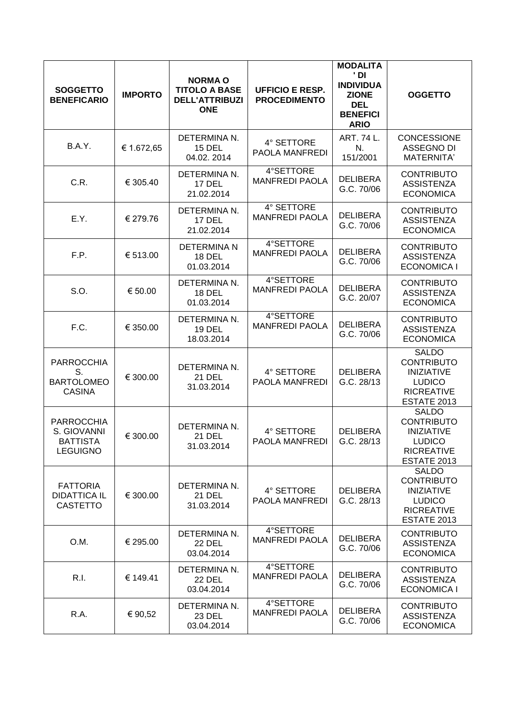| <b>SOGGETTO</b><br><b>BENEFICARIO</b>                                  | <b>IMPORTO</b> | <b>NORMA O</b><br><b>TITOLO A BASE</b><br><b>DELL'ATTRIBUZI</b><br><b>ONE</b> | <b>UFFICIO E RESP.</b><br><b>PROCEDIMENTO</b> | <b>MODALITA</b><br>' DI<br><b>INDIVIDUA</b><br><b>ZIONE</b><br><b>DEL</b><br><b>BENEFICI</b><br><b>ARIO</b> | <b>OGGETTO</b>                                                                                                     |
|------------------------------------------------------------------------|----------------|-------------------------------------------------------------------------------|-----------------------------------------------|-------------------------------------------------------------------------------------------------------------|--------------------------------------------------------------------------------------------------------------------|
| <b>B.A.Y.</b>                                                          | € 1.672,65     | DETERMINA N.<br><b>15 DEL</b><br>04.02.2014                                   | 4° SETTORE<br>PAOLA MANFREDI                  | ART. 74 L.<br>N.<br>151/2001                                                                                | <b>CONCESSIONE</b><br><b>ASSEGNO DI</b><br>MATERNITA'                                                              |
| C.R.                                                                   | € 305.40       | DETERMINA N.<br>17 DEL<br>21.02.2014                                          | 4°SETTORE<br><b>MANFREDI PAOLA</b>            | <b>DELIBERA</b><br>G.C. 70/06                                                                               | <b>CONTRIBUTO</b><br><b>ASSISTENZA</b><br><b>ECONOMICA</b>                                                         |
| E.Y.                                                                   | € 279.76       | DETERMINA N.<br><b>17 DEL</b><br>21.02.2014                                   | 4° SETTORE<br><b>MANFREDI PAOLA</b>           | <b>DELIBERA</b><br>G.C. 70/06                                                                               | <b>CONTRIBUTO</b><br><b>ASSISTENZA</b><br><b>ECONOMICA</b>                                                         |
| F.P.                                                                   | € 513.00       | <b>DETERMINA N</b><br><b>18 DEL</b><br>01.03.2014                             | 4°SETTORE<br><b>MANFREDI PAOLA</b>            | <b>DELIBERA</b><br>G.C. 70/06                                                                               | <b>CONTRIBUTO</b><br><b>ASSISTENZA</b><br><b>ECONOMICA I</b>                                                       |
| S.O.                                                                   | € 50.00        | DETERMINA N.<br><b>18 DEL</b><br>01.03.2014                                   | 4°SETTORE<br><b>MANFREDI PAOLA</b>            | <b>DELIBERA</b><br>G.C. 20/07                                                                               | <b>CONTRIBUTO</b><br><b>ASSISTENZA</b><br><b>ECONOMICA</b>                                                         |
| F.C.                                                                   | € 350.00       | DETERMINA N.<br><b>19 DEL</b><br>18.03.2014                                   | 4°SETTORE<br><b>MANFREDI PAOLA</b>            | <b>DELIBERA</b><br>G.C. 70/06                                                                               | <b>CONTRIBUTO</b><br><b>ASSISTENZA</b><br><b>ECONOMICA</b>                                                         |
| <b>PARROCCHIA</b><br>S.<br><b>BARTOLOMEO</b><br><b>CASINA</b>          | € 300.00       | DETERMINA N.<br><b>21 DEL</b><br>31.03.2014                                   | 4° SETTORE<br><b>PAOLA MANFREDI</b>           | <b>DELIBERA</b><br>G.C. 28/13                                                                               | <b>SALDO</b><br><b>CONTRIBUTO</b><br><b>INIZIATIVE</b><br><b>LUDICO</b><br><b>RICREATIVE</b><br><b>ESTATE 2013</b> |
| <b>PARROCCHIA</b><br>S. GIOVANNI<br><b>BATTISTA</b><br><b>LEGUIGNO</b> | € 300.00       | DETERMINA N.<br><b>21 DEL</b><br>31.03.2014                                   | 4° SETTORE<br>PAOLA MANFREDI                  | <b>DELIBERA</b><br>G.C. 28/13                                                                               | <b>SALDO</b><br><b>CONTRIBUTO</b><br><b>INIZIATIVE</b><br><b>LUDICO</b><br><b>RICREATIVE</b><br><b>ESTATE 2013</b> |
| <b>FATTORIA</b><br><b>DIDATTICA IL</b><br><b>CASTETTO</b>              | € 300.00       | DETERMINA N.<br><b>21 DEL</b><br>31.03.2014                                   | 4° SETTORE<br><b>PAOLA MANFREDI</b>           | <b>DELIBERA</b><br>G.C. 28/13                                                                               | <b>SALDO</b><br><b>CONTRIBUTO</b><br><b>INIZIATIVE</b><br><b>LUDICO</b><br><b>RICREATIVE</b><br><b>ESTATE 2013</b> |
| O.M.                                                                   | € 295.00       | DETERMINA N.<br><b>22 DEL</b><br>03.04.2014                                   | 4°SETTORE<br><b>MANFREDI PAOLA</b>            | <b>DELIBERA</b><br>G.C. 70/06                                                                               | <b>CONTRIBUTO</b><br><b>ASSISTENZA</b><br><b>ECONOMICA</b>                                                         |
| R.I.                                                                   | € 149.41       | DETERMINA N.<br><b>22 DEL</b><br>03.04.2014                                   | 4°SETTORE<br><b>MANFREDI PAOLA</b>            | <b>DELIBERA</b><br>G.C. 70/06                                                                               | <b>CONTRIBUTO</b><br><b>ASSISTENZA</b><br><b>ECONOMICA I</b>                                                       |
| R.A.                                                                   | € 90,52        | DETERMINA N.<br><b>23 DEL</b><br>03.04.2014                                   | 4°SETTORE<br><b>MANFREDI PAOLA</b>            | <b>DELIBERA</b><br>G.C. 70/06                                                                               | <b>CONTRIBUTO</b><br><b>ASSISTENZA</b><br><b>ECONOMICA</b>                                                         |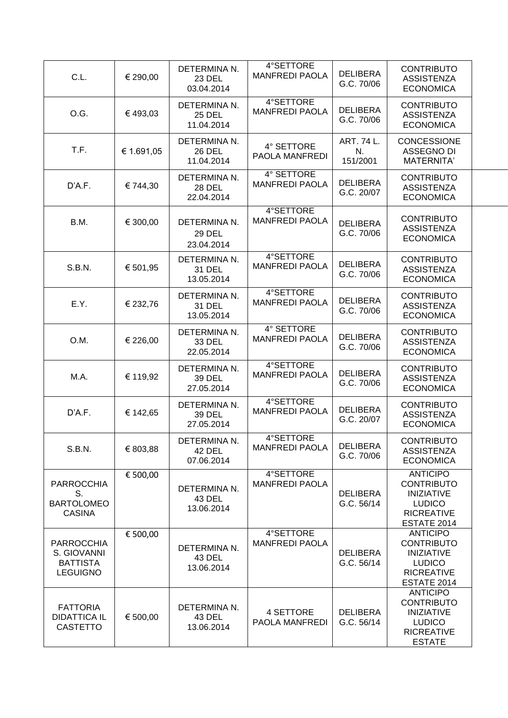| C.L.                                                                   | € 290,00   | DETERMINA N.<br><b>23 DEL</b><br>03.04.2014 | 4°SETTORE<br><b>MANFREDI PAOLA</b>  | <b>DELIBERA</b><br>G.C. 70/06 | <b>CONTRIBUTO</b><br><b>ASSISTENZA</b><br><b>ECONOMICA</b>                                                       |  |
|------------------------------------------------------------------------|------------|---------------------------------------------|-------------------------------------|-------------------------------|------------------------------------------------------------------------------------------------------------------|--|
| O.G.                                                                   | € 493,03   | DETERMINA N.<br><b>25 DEL</b><br>11.04.2014 | 4°SETTORE<br><b>MANFREDI PAOLA</b>  | <b>DELIBERA</b><br>G.C. 70/06 | <b>CONTRIBUTO</b><br><b>ASSISTENZA</b><br><b>ECONOMICA</b>                                                       |  |
| T.F.                                                                   | € 1.691,05 | DETERMINA N.<br><b>26 DEL</b><br>11.04.2014 | 4° SETTORE<br>PAOLA MANFREDI        | ART. 74 L.<br>N.<br>151/2001  | <b>CONCESSIONE</b><br>ASSEGNO DI<br><b>MATERNITA'</b>                                                            |  |
| D'A.F.                                                                 | € 744,30   | DETERMINA N.<br><b>28 DEL</b><br>22.04.2014 | 4° SETTORE<br><b>MANFREDI PAOLA</b> | <b>DELIBERA</b><br>G.C. 20/07 | <b>CONTRIBUTO</b><br><b>ASSISTENZA</b><br><b>ECONOMICA</b>                                                       |  |
| B.M.                                                                   | € 300,00   | DETERMINA N.<br><b>29 DEL</b><br>23.04.2014 | 4°SETTORE<br><b>MANFREDI PAOLA</b>  | <b>DELIBERA</b><br>G.C. 70/06 | <b>CONTRIBUTO</b><br><b>ASSISTENZA</b><br><b>ECONOMICA</b>                                                       |  |
| S.B.N.                                                                 | € 501,95   | DETERMINA N.<br><b>31 DEL</b><br>13.05.2014 | 4°SETTORE<br><b>MANFREDI PAOLA</b>  | <b>DELIBERA</b><br>G.C. 70/06 | <b>CONTRIBUTO</b><br><b>ASSISTENZA</b><br><b>ECONOMICA</b>                                                       |  |
| E.Y.                                                                   | € 232,76   | DETERMINA N.<br>31 DEL<br>13.05.2014        | 4°SETTORE<br><b>MANFREDI PAOLA</b>  | <b>DELIBERA</b><br>G.C. 70/06 | <b>CONTRIBUTO</b><br><b>ASSISTENZA</b><br><b>ECONOMICA</b>                                                       |  |
| O.M.                                                                   | € 226,00   | DETERMINA N.<br>33 DEL<br>22.05.2014        | 4° SETTORE<br><b>MANFREDI PAOLA</b> | <b>DELIBERA</b><br>G.C. 70/06 | <b>CONTRIBUTO</b><br><b>ASSISTENZA</b><br><b>ECONOMICA</b>                                                       |  |
| M.A.                                                                   | € 119,92   | DETERMINA N.<br>39 DEL<br>27.05.2014        | 4°SETTORE<br><b>MANFREDI PAOLA</b>  | <b>DELIBERA</b><br>G.C. 70/06 | <b>CONTRIBUTO</b><br><b>ASSISTENZA</b><br><b>ECONOMICA</b>                                                       |  |
| D'A.F.                                                                 | € 142,65   | DETERMINA N.<br>39 DEL<br>27.05.2014        | 4°SETTORE<br><b>MANFREDI PAOLA</b>  | <b>DELIBERA</b><br>G.C. 20/07 | <b>CONTRIBUTO</b><br><b>ASSISTENZA</b><br><b>ECONOMICA</b>                                                       |  |
| S.B.N.                                                                 | € 803,88   | DETERMINA N.<br><b>42 DEL</b><br>07.06.2014 | 4°SETTORE<br><b>MANFREDI PAOLA</b>  | <b>DELIBERA</b><br>G.C. 70/06 | <b>CONTRIBUTO</b><br><b>ASSISTENZA</b><br><b>ECONOMICA</b>                                                       |  |
| <b>PARROCCHIA</b><br>S.<br><b>BARTOLOMEO</b><br><b>CASINA</b>          | € 500,00   | DETERMINA N.<br>43 DEL<br>13.06.2014        | 4°SETTORE<br><b>MANFREDI PAOLA</b>  | <b>DELIBERA</b><br>G.C. 56/14 | <b>ANTICIPO</b><br><b>CONTRIBUTO</b><br><b>INIZIATIVE</b><br><b>LUDICO</b><br><b>RICREATIVE</b><br>ESTATE 2014   |  |
| <b>PARROCCHIA</b><br>S. GIOVANNI<br><b>BATTISTA</b><br><b>LEGUIGNO</b> | € 500,00   | DETERMINA N.<br>43 DEL<br>13.06.2014        | 4°SETTORE<br><b>MANFREDI PAOLA</b>  | <b>DELIBERA</b><br>G.C. 56/14 | <b>ANTICIPO</b><br><b>CONTRIBUTO</b><br><b>INIZIATIVE</b><br><b>LUDICO</b><br><b>RICREATIVE</b><br>ESTATE 2014   |  |
| <b>FATTORIA</b><br><b>DIDATTICA IL</b><br><b>CASTETTO</b>              | € 500,00   | DETERMINA N.<br>43 DEL<br>13.06.2014        | 4 SETTORE<br>PAOLA MANFREDI         | <b>DELIBERA</b><br>G.C. 56/14 | <b>ANTICIPO</b><br><b>CONTRIBUTO</b><br><b>INIZIATIVE</b><br><b>LUDICO</b><br><b>RICREATIVE</b><br><b>ESTATE</b> |  |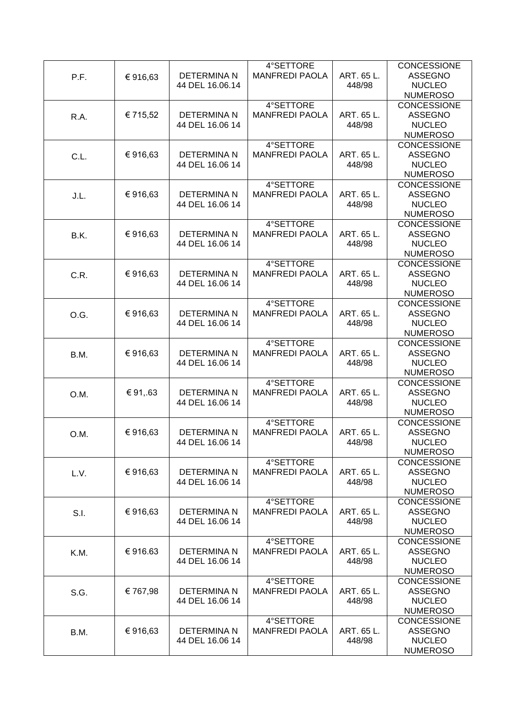|      |          |                    | 4°SETTORE             |            | <b>CONCESSIONE</b> |
|------|----------|--------------------|-----------------------|------------|--------------------|
| P.F. | €916,63  | <b>DETERMINA N</b> | <b>MANFREDI PAOLA</b> | ART. 65 L. | <b>ASSEGNO</b>     |
|      |          | 44 DEL 16.06.14    |                       | 448/98     | <b>NUCLEO</b>      |
|      |          |                    |                       |            | <b>NUMEROSO</b>    |
|      |          |                    | 4°SETTORE             |            | CONCESSIONE        |
| R.A. | € 715,52 | <b>DETERMINA N</b> | <b>MANFREDI PAOLA</b> | ART. 65 L. | <b>ASSEGNO</b>     |
|      |          | 44 DEL 16.06 14    |                       | 448/98     | <b>NUCLEO</b>      |
|      |          |                    |                       |            | <b>NUMEROSO</b>    |
|      |          |                    | 4°SETTORE             |            | CONCESSIONE        |
|      |          |                    |                       |            |                    |
| C.L. | €916,63  | <b>DETERMINA N</b> | <b>MANFREDI PAOLA</b> | ART. 65 L. | <b>ASSEGNO</b>     |
|      |          | 44 DEL 16.06 14    |                       | 448/98     | <b>NUCLEO</b>      |
|      |          |                    |                       |            | <b>NUMEROSO</b>    |
|      |          |                    | 4°SETTORE             |            | <b>CONCESSIONE</b> |
| J.L. | €916,63  | <b>DETERMINA N</b> | <b>MANFREDI PAOLA</b> | ART. 65 L. | <b>ASSEGNO</b>     |
|      |          | 44 DEL 16.06 14    |                       | 448/98     | <b>NUCLEO</b>      |
|      |          |                    |                       |            | <b>NUMEROSO</b>    |
|      |          |                    | 4°SETTORE             |            | CONCESSIONE        |
| B.K. | €916,63  | <b>DETERMINA N</b> | <b>MANFREDI PAOLA</b> | ART. 65 L. | <b>ASSEGNO</b>     |
|      |          | 44 DEL 16.06 14    |                       | 448/98     | <b>NUCLEO</b>      |
|      |          |                    |                       |            | <b>NUMEROSO</b>    |
|      |          |                    | 4°SETTORE             |            | CONCESSIONE        |
| C.R. | €916,63  | <b>DETERMINAN</b>  | <b>MANFREDI PAOLA</b> | ART. 65 L. | <b>ASSEGNO</b>     |
|      |          | 44 DEL 16.06 14    |                       | 448/98     | <b>NUCLEO</b>      |
|      |          |                    |                       |            | <b>NUMEROSO</b>    |
|      |          |                    | 4°SETTORE             |            | <b>CONCESSIONE</b> |
|      | €916,63  | <b>DETERMINA N</b> | <b>MANFREDI PAOLA</b> | ART. 65 L. | <b>ASSEGNO</b>     |
| O.G. |          | 44 DEL 16.06 14    |                       | 448/98     | <b>NUCLEO</b>      |
|      |          |                    |                       |            | <b>NUMEROSO</b>    |
|      |          |                    | 4°SETTORE             |            | <b>CONCESSIONE</b> |
|      |          |                    |                       |            |                    |
| B.M. | €916,63  | <b>DETERMINA N</b> | <b>MANFREDI PAOLA</b> | ART. 65 L. | <b>ASSEGNO</b>     |
|      |          | 44 DEL 16.06 14    |                       | 448/98     | <b>NUCLEO</b>      |
|      |          |                    |                       |            | <b>NUMEROSO</b>    |
|      |          |                    | 4°SETTORE             |            | <b>CONCESSIONE</b> |
| O.M. | €91,.63  | <b>DETERMINAN</b>  | <b>MANFREDI PAOLA</b> | ART. 65 L. | <b>ASSEGNO</b>     |
|      |          | 44 DEL 16.06 14    |                       | 448/98     | <b>NUCLEO</b>      |
|      |          |                    |                       |            | <b>NUMEROSO</b>    |
|      |          |                    | 4°SETTORE             |            | <b>CONCESSIONE</b> |
| O.M. | €916,63  | <b>DETERMINA N</b> | <b>MANFREDI PAOLA</b> | ART. 65 L. | <b>ASSEGNO</b>     |
|      |          | 44 DEL 16.06 14    |                       | 448/98     | <b>NUCLEO</b>      |
|      |          |                    |                       |            | <b>NUMEROSO</b>    |
|      |          |                    | 4°SETTORE             |            | <b>CONCESSIONE</b> |
| L.V. | €916,63  | <b>DETERMINA N</b> | <b>MANFREDI PAOLA</b> | ART. 65 L. | <b>ASSEGNO</b>     |
|      |          | 44 DEL 16.06 14    |                       | 448/98     | <b>NUCLEO</b>      |
|      |          |                    |                       |            | <b>NUMEROSO</b>    |
|      |          |                    | 4°SETTORE             |            | <b>CONCESSIONE</b> |
| S.I. | €916,63  | <b>DETERMINA N</b> | <b>MANFREDI PAOLA</b> | ART. 65 L. | <b>ASSEGNO</b>     |
|      |          | 44 DEL 16.06 14    |                       | 448/98     | <b>NUCLEO</b>      |
|      |          |                    |                       |            | <b>NUMEROSO</b>    |
|      |          |                    | 4°SETTORE             |            | <b>CONCESSIONE</b> |
| K.M. | €916.63  | <b>DETERMINA N</b> | <b>MANFREDI PAOLA</b> | ART. 65 L. | <b>ASSEGNO</b>     |
|      |          | 44 DEL 16.06 14    |                       | 448/98     | <b>NUCLEO</b>      |
|      |          |                    |                       |            | <b>NUMEROSO</b>    |
|      |          |                    | 4°SETTORE             |            | CONCESSIONE        |
| S.G. | € 767,98 | <b>DETERMINAN</b>  | <b>MANFREDI PAOLA</b> | ART. 65 L. | <b>ASSEGNO</b>     |
|      |          | 44 DEL 16.06 14    |                       | 448/98     | <b>NUCLEO</b>      |
|      |          |                    |                       |            | <b>NUMEROSO</b>    |
|      |          |                    | 4°SETTORE             |            |                    |
|      |          |                    |                       |            | <b>CONCESSIONE</b> |
| B.M. | €916,63  | <b>DETERMINA N</b> | <b>MANFREDI PAOLA</b> | ART. 65 L. | <b>ASSEGNO</b>     |
|      |          | 44 DEL 16.06 14    |                       | 448/98     | <b>NUCLEO</b>      |
|      |          |                    |                       |            | <b>NUMEROSO</b>    |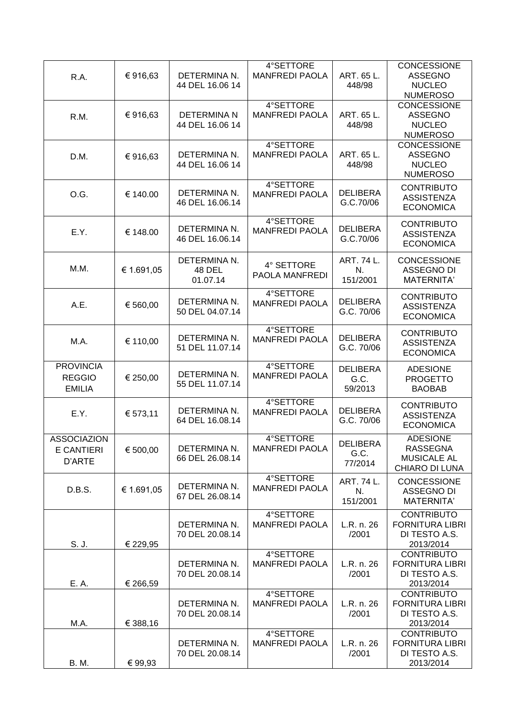| R.A.                                               | €916,63    | DETERMINA N.<br>44 DEL 16.06 14           | 4°SETTORE<br><b>MANFREDI PAOLA</b> | ART. 65 L.<br>448/98               | <b>CONCESSIONE</b><br><b>ASSEGNO</b><br><b>NUCLEO</b><br><b>NUMEROSO</b>   |
|----------------------------------------------------|------------|-------------------------------------------|------------------------------------|------------------------------------|----------------------------------------------------------------------------|
| R.M.                                               | €916,63    | <b>DETERMINAN</b><br>44 DEL 16.06 14      | 4°SETTORE<br><b>MANFREDI PAOLA</b> | ART. 65 L.<br>448/98               | <b>CONCESSIONE</b><br><b>ASSEGNO</b><br><b>NUCLEO</b><br><b>NUMEROSO</b>   |
| D.M.                                               | €916,63    | DETERMINA N.<br>44 DEL 16.06 14           | 4°SETTORE<br><b>MANFREDI PAOLA</b> | ART. 65 L.<br>448/98               | CONCESSIONE<br><b>ASSEGNO</b><br><b>NUCLEO</b><br><b>NUMEROSO</b>          |
| O.G.                                               | € 140.00   | DETERMINA N.<br>46 DEL 16.06.14           | 4°SETTORE<br><b>MANFREDI PAOLA</b> | <b>DELIBERA</b><br>G.C.70/06       | <b>CONTRIBUTO</b><br><b>ASSISTENZA</b><br><b>ECONOMICA</b>                 |
| E.Y.                                               | € 148.00   | DETERMINA N.<br>46 DEL 16.06.14           | 4°SETTORE<br><b>MANFREDI PAOLA</b> | <b>DELIBERA</b><br>G.C.70/06       | <b>CONTRIBUTO</b><br><b>ASSISTENZA</b><br><b>ECONOMICA</b>                 |
| M.M.                                               | € 1.691,05 | DETERMINA N.<br><b>48 DEL</b><br>01.07.14 | 4° SETTORE<br>PAOLA MANFREDI       | ART. 74 L.<br>N.<br>151/2001       | <b>CONCESSIONE</b><br><b>ASSEGNO DI</b><br>MATERNITA'                      |
| A.E.                                               | € 560,00   | DETERMINA N.<br>50 DEL 04.07.14           | 4°SETTORE<br><b>MANFREDI PAOLA</b> | <b>DELIBERA</b><br>G.C. 70/06      | <b>CONTRIBUTO</b><br><b>ASSISTENZA</b><br><b>ECONOMICA</b>                 |
| M.A.                                               | € 110,00   | DETERMINA N.<br>51 DEL 11.07.14           | 4°SETTORE<br><b>MANFREDI PAOLA</b> | <b>DELIBERA</b><br>G.C. 70/06      | <b>CONTRIBUTO</b><br><b>ASSISTENZA</b><br><b>ECONOMICA</b>                 |
| <b>PROVINCIA</b><br><b>REGGIO</b><br><b>EMILIA</b> | € 250,00   | DETERMINA N.<br>55 DEL 11.07.14           | 4°SETTORE<br><b>MANFREDI PAOLA</b> | <b>DELIBERA</b><br>G.C.<br>59/2013 | <b>ADESIONE</b><br><b>PROGETTO</b><br><b>BAOBAB</b>                        |
| E.Y.                                               | € 573,11   | DETERMINA N.<br>64 DEL 16.08.14           | 4°SETTORE<br><b>MANFREDI PAOLA</b> | <b>DELIBERA</b><br>G.C. 70/06      | <b>CONTRIBUTO</b><br><b>ASSISTENZA</b><br><b>ECONOMICA</b>                 |
| <b>ASSOCIAZION</b><br>E CANTIERI<br>D'ARTE         | € 500,00   | DETERMINA N.<br>66 DEL 26.08.14           | 4°SETTORE<br><b>MANFREDI PAOLA</b> | <b>DELIBERA</b><br>G.C.<br>77/2014 | <b>ADESIONE</b><br><b>RASSEGNA</b><br><b>MUSICALE AL</b><br>CHIARO DI LUNA |
| D.B.S.                                             | € 1.691,05 | DETERMINA N.<br>67 DEL 26.08.14           | 4°SETTORE<br><b>MANFREDI PAOLA</b> | ART. 74 L.<br>N.<br>151/2001       | <b>CONCESSIONE</b><br><b>ASSEGNO DI</b><br><b>MATERNITA'</b>               |
| S. J.                                              | € 229,95   | DETERMINA N.<br>70 DEL 20.08.14           | 4°SETTORE<br><b>MANFREDI PAOLA</b> | L.R. n. 26<br>/2001                | <b>CONTRIBUTO</b><br><b>FORNITURA LIBRI</b><br>DI TESTO A.S.<br>2013/2014  |
| E. A.                                              | € 266,59   | DETERMINA N.<br>70 DEL 20.08.14           | 4°SETTORE<br><b>MANFREDI PAOLA</b> | L.R. n. 26<br>/2001                | <b>CONTRIBUTO</b><br><b>FORNITURA LIBRI</b><br>DI TESTO A.S.<br>2013/2014  |
| M.A.                                               | € 388,16   | DETERMINA N.<br>70 DEL 20.08.14           | 4°SETTORE<br><b>MANFREDI PAOLA</b> | L.R. n. 26<br>/2001                | <b>CONTRIBUTO</b><br><b>FORNITURA LIBRI</b><br>DI TESTO A.S.<br>2013/2014  |
| B. M.                                              | € 99,93    | DETERMINA N.<br>70 DEL 20.08.14           | 4°SETTORE<br><b>MANFREDI PAOLA</b> | L.R. n. 26<br>/2001                | <b>CONTRIBUTO</b><br><b>FORNITURA LIBRI</b><br>DI TESTO A.S.<br>2013/2014  |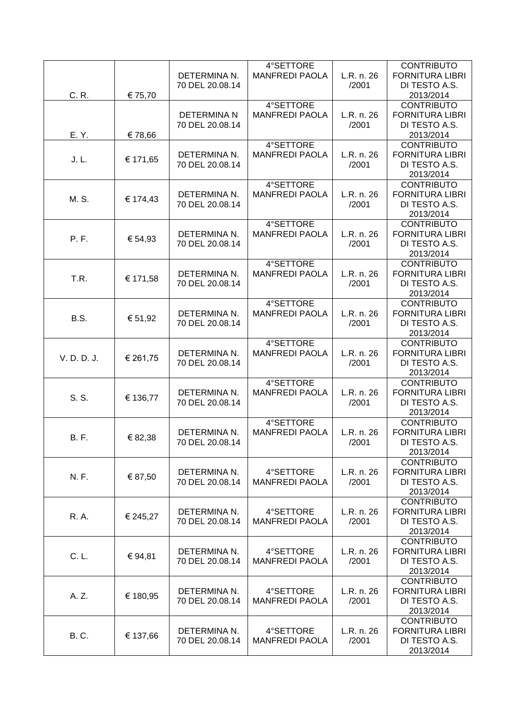|             |          |                    | 4°SETTORE             |            | <b>CONTRIBUTO</b>      |
|-------------|----------|--------------------|-----------------------|------------|------------------------|
|             |          | DETERMINA N.       | <b>MANFREDI PAOLA</b> | L.R. n. 26 | <b>FORNITURA LIBRI</b> |
|             |          | 70 DEL 20.08.14    |                       | /2001      | DI TESTO A.S.          |
| C. R.       | € 75,70  |                    |                       |            | 2013/2014              |
|             |          |                    | 4°SETTORE             |            | <b>CONTRIBUTO</b>      |
|             |          | <b>DETERMINA N</b> | <b>MANFREDI PAOLA</b> | L.R. n. 26 | <b>FORNITURA LIBRI</b> |
|             |          | 70 DEL 20.08.14    |                       | /2001      | DI TESTO A.S.          |
| E. Y.       | €78,66   |                    |                       |            | 2013/2014              |
|             |          |                    | 4°SETTORE             |            |                        |
|             |          |                    |                       |            | <b>CONTRIBUTO</b>      |
| J.L.        | € 171,65 | DETERMINA N.       | <b>MANFREDI PAOLA</b> | L.R. n. 26 | <b>FORNITURA LIBRI</b> |
|             |          | 70 DEL 20.08.14    |                       | /2001      | DI TESTO A.S.          |
|             |          |                    |                       |            | 2013/2014              |
|             |          |                    | 4°SETTORE             |            | <b>CONTRIBUTO</b>      |
| M. S.       | € 174,43 | DETERMINA N.       | <b>MANFREDI PAOLA</b> | L.R. n. 26 | <b>FORNITURA LIBRI</b> |
|             |          | 70 DEL 20.08.14    |                       | /2001      | DI TESTO A.S.          |
|             |          |                    |                       |            | 2013/2014              |
|             |          |                    | 4°SETTORE             |            | <b>CONTRIBUTO</b>      |
| P. F.       | € 54,93  | DETERMINA N.       | <b>MANFREDI PAOLA</b> | L.R. n. 26 | <b>FORNITURA LIBRI</b> |
|             |          | 70 DEL 20.08.14    |                       | /2001      | DI TESTO A.S.          |
|             |          |                    |                       |            | 2013/2014              |
|             |          |                    | 4°SETTORE             |            | <b>CONTRIBUTO</b>      |
|             |          | DETERMINA N.       | <b>MANFREDI PAOLA</b> | L.R. n. 26 | <b>FORNITURA LIBRI</b> |
| T.R.        | € 171,58 | 70 DEL 20.08.14    |                       | /2001      | DI TESTO A.S.          |
|             |          |                    |                       |            | 2013/2014              |
|             |          |                    | 4°SETTORE             |            | <b>CONTRIBUTO</b>      |
|             |          | DETERMINA N.       | <b>MANFREDI PAOLA</b> | L.R. n. 26 | <b>FORNITURA LIBRI</b> |
| B.S.        | € 51,92  | 70 DEL 20.08.14    |                       | /2001      | DI TESTO A.S.          |
|             |          |                    |                       |            | 2013/2014              |
|             |          |                    | 4°SETTORE             |            | <b>CONTRIBUTO</b>      |
|             |          | DETERMINA N.       | <b>MANFREDI PAOLA</b> | L.R. n. 26 | <b>FORNITURA LIBRI</b> |
| V. D. D. J. | € 261,75 | 70 DEL 20.08.14    |                       | /2001      | DI TESTO A.S.          |
|             |          |                    |                       |            | 2013/2014              |
|             |          |                    | 4°SETTORE             |            | <b>CONTRIBUTO</b>      |
|             |          | DETERMINA N.       |                       |            | <b>FORNITURA LIBRI</b> |
| S. S.       | € 136,77 |                    | <b>MANFREDI PAOLA</b> | L.R. n. 26 |                        |
|             |          | 70 DEL 20.08.14    |                       | /2001      | DI TESTO A.S.          |
|             |          |                    |                       |            | 2013/2014              |
|             |          |                    | 4°SETTORE             |            | <b>CONTRIBUTO</b>      |
| <b>B.F.</b> | € 82,38  | DETERMINA N.       | <b>MANFREDI PAOLA</b> | L.R. n. 26 | <b>FORNITURA LIBRI</b> |
|             |          | 70 DEL 20.08.14    |                       | /2001      | DI TESTO A.S.          |
|             |          |                    |                       |            | 2013/2014              |
|             |          |                    |                       |            | <b>CONTRIBUTO</b>      |
| N. F.       | € 87,50  | DETERMINA N.       | 4°SETTORE             | L.R. n. 26 | <b>FORNITURA LIBRI</b> |
|             |          | 70 DEL 20.08.14    | <b>MANFREDI PAOLA</b> | /2001      | DI TESTO A.S.          |
|             |          |                    |                       |            | 2013/2014              |
|             |          |                    |                       |            | <b>CONTRIBUTO</b>      |
| <b>R.A.</b> | € 245,27 | DETERMINA N.       | 4°SETTORE             | L.R. n. 26 | <b>FORNITURA LIBRI</b> |
|             |          | 70 DEL 20.08.14    | <b>MANFREDI PAOLA</b> | /2001      | DI TESTO A.S.          |
|             |          |                    |                       |            | 2013/2014              |
|             |          |                    |                       |            | <b>CONTRIBUTO</b>      |
|             |          | DETERMINA N.       | 4°SETTORE             | L.R. n. 26 | <b>FORNITURA LIBRI</b> |
| C. L.       | € 94,81  | 70 DEL 20.08.14    | <b>MANFREDI PAOLA</b> | /2001      | DI TESTO A.S.          |
|             |          |                    |                       |            | 2013/2014              |
|             |          |                    |                       |            | <b>CONTRIBUTO</b>      |
|             |          | DETERMINA N.       | 4°SETTORE             | L.R. n. 26 | <b>FORNITURA LIBRI</b> |
| A. Z.       | € 180,95 | 70 DEL 20.08.14    | <b>MANFREDI PAOLA</b> | /2001      | DI TESTO A.S.          |
|             |          |                    |                       |            | 2013/2014              |
|             |          |                    |                       |            | <b>CONTRIBUTO</b>      |
|             |          | DETERMINA N.       | 4°SETTORE             | L.R. n. 26 | <b>FORNITURA LIBRI</b> |
| <b>B.C.</b> | € 137,66 | 70 DEL 20.08.14    | <b>MANFREDI PAOLA</b> | /2001      | DI TESTO A.S.          |
|             |          |                    |                       |            | 2013/2014              |
|             |          |                    |                       |            |                        |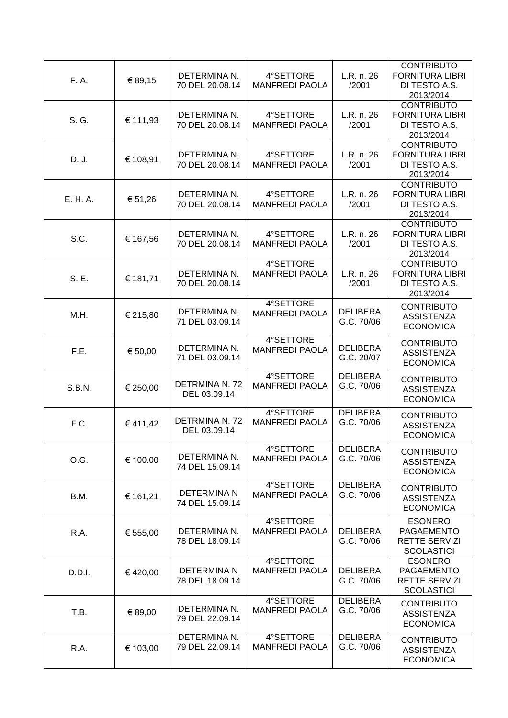| F. A.         | € 89,15  | DETERMINA N.<br>70 DEL 20.08.14       | 4°SETTORE<br><b>MANFREDI PAOLA</b> | L.R. n. 26<br>/2001           | <b>CONTRIBUTO</b><br><b>FORNITURA LIBRI</b><br>DI TESTO A.S.<br>2013/2014 |
|---------------|----------|---------------------------------------|------------------------------------|-------------------------------|---------------------------------------------------------------------------|
| S. G.         | € 111,93 | DETERMINA N.<br>70 DEL 20.08.14       | 4°SETTORE<br><b>MANFREDI PAOLA</b> | L.R. n. 26<br>/2001           | <b>CONTRIBUTO</b><br><b>FORNITURA LIBRI</b><br>DI TESTO A.S.<br>2013/2014 |
| D. J.         | € 108,91 | DETERMINA N.<br>70 DEL 20.08.14       | 4°SETTORE<br><b>MANFREDI PAOLA</b> | L.R. n. 26<br>/2001           | <b>CONTRIBUTO</b><br><b>FORNITURA LIBRI</b><br>DI TESTO A.S.<br>2013/2014 |
| E. H. A.      | € 51,26  | DETERMINA N.<br>70 DEL 20.08.14       | 4°SETTORE<br><b>MANFREDI PAOLA</b> | L.R. n. 26<br>/2001           | <b>CONTRIBUTO</b><br><b>FORNITURA LIBRI</b><br>DI TESTO A.S.<br>2013/2014 |
| S.C.          | € 167,56 | DETERMINA N.<br>70 DEL 20.08.14       | 4°SETTORE<br><b>MANFREDI PAOLA</b> | L.R. n. 26<br>/2001           | <b>CONTRIBUTO</b><br><b>FORNITURA LIBRI</b><br>DI TESTO A.S.<br>2013/2014 |
| S. E.         | € 181,71 | DETERMINA N.<br>70 DEL 20.08.14       | 4°SETTORE<br><b>MANFREDI PAOLA</b> | L.R. n. 26<br>/2001           | <b>CONTRIBUTO</b><br><b>FORNITURA LIBRI</b><br>DI TESTO A.S.<br>2013/2014 |
| M.H.          | € 215,80 | DETERMINA N.<br>71 DEL 03.09.14       | 4°SETTORE<br><b>MANFREDI PAOLA</b> | <b>DELIBERA</b><br>G.C. 70/06 | <b>CONTRIBUTO</b><br><b>ASSISTENZA</b><br><b>ECONOMICA</b>                |
| F.E.          | € 50,00  | DETERMINA N.<br>71 DEL 03.09.14       | 4°SETTORE<br><b>MANFREDI PAOLA</b> | <b>DELIBERA</b><br>G.C. 20/07 | <b>CONTRIBUTO</b><br><b>ASSISTENZA</b><br><b>ECONOMICA</b>                |
| <b>S.B.N.</b> | € 250,00 | DETRMINA N. 72<br>DEL 03.09.14        | 4°SETTORE<br><b>MANFREDI PAOLA</b> | <b>DELIBERA</b><br>G.C. 70/06 | <b>CONTRIBUTO</b><br><b>ASSISTENZA</b><br><b>ECONOMICA</b>                |
| F.C.          | €411,42  | <b>DETRMINA N. 72</b><br>DEL 03.09.14 | 4°SETTORE<br><b>MANFREDI PAOLA</b> | <b>DELIBERA</b><br>G.C. 70/06 | <b>CONTRIBUTO</b><br><b>ASSISTENZA</b><br><b>ECONOMICA</b>                |
| O.G.          | € 100.00 | DETERMINA N.<br>74 DEL 15.09.14       | 4°SETTORE<br><b>MANFREDI PAOLA</b> | <b>DELIBERA</b><br>G.C. 70/06 | <b>CONTRIBUTO</b><br><b>ASSISTENZA</b><br><b>ECONOMICA</b>                |
| B.M.          | € 161,21 | DETERMINA N<br>74 DEL 15.09.14        | 4°SETTORE<br><b>MANFREDI PAOLA</b> | <b>DELIBERA</b><br>G.C. 70/06 | <b>CONTRIBUTO</b><br><b>ASSISTENZA</b><br><b>ECONOMICA</b>                |
| R.A.          | € 555,00 | DETERMINA N.<br>78 DEL 18.09.14       | 4°SETTORE<br><b>MANFREDI PAOLA</b> | <b>DELIBERA</b><br>G.C. 70/06 | <b>ESONERO</b><br>PAGAEMENTO<br><b>RETTE SERVIZI</b><br><b>SCOLASTICI</b> |
| D.D.I.        | €420,00  | DETERMINA N<br>78 DEL 18.09.14        | 4°SETTORE<br><b>MANFREDI PAOLA</b> | <b>DELIBERA</b><br>G.C. 70/06 | <b>ESONERO</b><br>PAGAEMENTO<br><b>RETTE SERVIZI</b><br><b>SCOLASTICI</b> |
| T.B.          | € 89,00  | DETERMINA N.<br>79 DEL 22.09.14       | 4°SETTORE<br><b>MANFREDI PAOLA</b> | <b>DELIBERA</b><br>G.C. 70/06 | <b>CONTRIBUTO</b><br><b>ASSISTENZA</b><br><b>ECONOMICA</b>                |
| R.A.          | € 103,00 | DETERMINA N.<br>79 DEL 22.09.14       | 4°SETTORE<br><b>MANFREDI PAOLA</b> | <b>DELIBERA</b><br>G.C. 70/06 | <b>CONTRIBUTO</b><br><b>ASSISTENZA</b><br><b>ECONOMICA</b>                |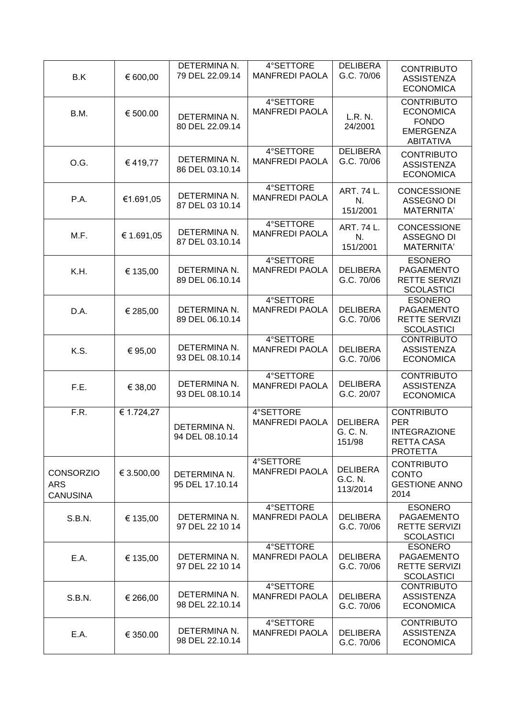| B.K                                               | € 600,00   | DETERMINA N.<br>79 DEL 22.09.14 | 4°SETTORE<br><b>MANFREDI PAOLA</b> | <b>DELIBERA</b><br>G.C. 70/06          | <b>CONTRIBUTO</b><br><b>ASSISTENZA</b><br><b>ECONOMICA</b>                                    |
|---------------------------------------------------|------------|---------------------------------|------------------------------------|----------------------------------------|-----------------------------------------------------------------------------------------------|
| B.M.                                              | € 500.00   | DETERMINA N.<br>80 DEL 22.09.14 | 4°SETTORE<br><b>MANFREDI PAOLA</b> | L.R. N.<br>24/2001                     | <b>CONTRIBUTO</b><br><b>ECONOMICA</b><br><b>FONDO</b><br><b>EMERGENZA</b><br><b>ABITATIVA</b> |
| O.G.                                              | €419,77    | DETERMINA N.<br>86 DEL 03.10.14 | 4°SETTORE<br><b>MANFREDI PAOLA</b> | <b>DELIBERA</b><br>G.C. 70/06          | <b>CONTRIBUTO</b><br><b>ASSISTENZA</b><br><b>ECONOMICA</b>                                    |
| P.A.                                              | €1.691,05  | DETERMINA N.<br>87 DEL 03 10.14 | 4°SETTORE<br><b>MANFREDI PAOLA</b> | ART. 74 L.<br>N.<br>151/2001           | <b>CONCESSIONE</b><br><b>ASSEGNO DI</b><br><b>MATERNITA'</b>                                  |
| M.F.                                              | € 1.691,05 | DETERMINA N.<br>87 DEL 03.10.14 | 4°SETTORE<br><b>MANFREDI PAOLA</b> | ART. 74 L.<br>N.<br>151/2001           | <b>CONCESSIONE</b><br><b>ASSEGNO DI</b><br><b>MATERNITA'</b>                                  |
| K.H.                                              | € 135,00   | DETERMINA N.<br>89 DEL 06.10.14 | 4°SETTORE<br><b>MANFREDI PAOLA</b> | <b>DELIBERA</b><br>G.C. 70/06          | <b>ESONERO</b><br>PAGAEMENTO<br>RETTE SERVIZI<br><b>SCOLASTICI</b>                            |
| D.A.                                              | € 285,00   | DETERMINA N.<br>89 DEL 06.10.14 | 4°SETTORE<br><b>MANFREDI PAOLA</b> | <b>DELIBERA</b><br>G.C. 70/06          | <b>ESONERO</b><br>PAGAEMENTO<br><b>RETTE SERVIZI</b><br><b>SCOLASTICI</b>                     |
| K.S.                                              | € 95,00    | DETERMINA N.<br>93 DEL 08.10.14 | 4°SETTORE<br><b>MANFREDI PAOLA</b> | <b>DELIBERA</b><br>G.C. 70/06          | <b>CONTRIBUTO</b><br><b>ASSISTENZA</b><br><b>ECONOMICA</b>                                    |
| F.E.                                              | € 38,00    | DETERMINA N.<br>93 DEL 08.10.14 | 4°SETTORE<br><b>MANFREDI PAOLA</b> | <b>DELIBERA</b><br>G.C. 20/07          | <b>CONTRIBUTO</b><br><b>ASSISTENZA</b><br><b>ECONOMICA</b>                                    |
| F.R.                                              | € 1.724,27 | DETERMINA N.<br>94 DEL 08.10.14 | 4°SETTORE<br><b>MANFREDI PAOLA</b> | <b>DELIBERA</b><br>G. C. N.<br>151/98  | <b>CONTRIBUTO</b><br><b>PER</b><br><b>INTEGRAZIONE</b><br>RETTA CASA<br><b>PROTETTA</b>       |
| <b>CONSORZIO</b><br><b>ARS</b><br><b>CANUSINA</b> | € 3.500,00 | DETERMINA N.<br>95 DEL 17.10.14 | 4°SETTORE<br><b>MANFREDI PAOLA</b> | <b>DELIBERA</b><br>G.C. N.<br>113/2014 | <b>CONTRIBUTO</b><br><b>CONTO</b><br><b>GESTIONE ANNO</b><br>2014                             |
| S.B.N.                                            | € 135,00   | DETERMINA N.<br>97 DEL 22 10 14 | 4°SETTORE<br><b>MANFREDI PAOLA</b> | <b>DELIBERA</b><br>G.C. 70/06          | <b>ESONERO</b><br>PAGAEMENTO<br><b>RETTE SERVIZI</b><br><b>SCOLASTICI</b>                     |
| E.A.                                              | € 135,00   | DETERMINA N.<br>97 DEL 22 10 14 | 4°SETTORE<br><b>MANFREDI PAOLA</b> | <b>DELIBERA</b><br>G.C. 70/06          | <b>ESONERO</b><br>PAGAEMENTO<br><b>RETTE SERVIZI</b><br><b>SCOLASTICI</b>                     |
| S.B.N.                                            | € 266,00   | DETERMINA N.<br>98 DEL 22.10.14 | 4°SETTORE<br><b>MANFREDI PAOLA</b> | <b>DELIBERA</b><br>G.C. 70/06          | <b>CONTRIBUTO</b><br><b>ASSISTENZA</b><br><b>ECONOMICA</b>                                    |
| E.A.                                              | € 350.00   | DETERMINA N.<br>98 DEL 22.10.14 | 4°SETTORE<br><b>MANFREDI PAOLA</b> | <b>DELIBERA</b><br>G.C. 70/06          | <b>CONTRIBUTO</b><br><b>ASSISTENZA</b><br><b>ECONOMICA</b>                                    |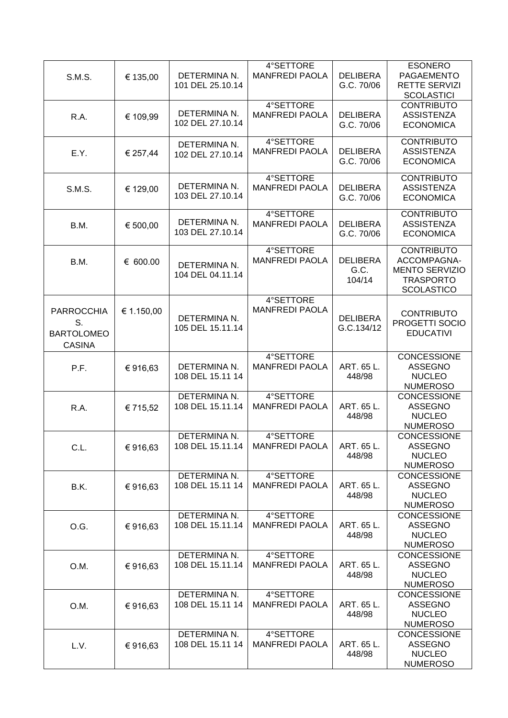|                   |            |                  | 4°SETTORE             |                 | <b>ESONERO</b>        |
|-------------------|------------|------------------|-----------------------|-----------------|-----------------------|
| <b>S.M.S.</b>     | € 135,00   | DETERMINA N.     | <b>MANFREDI PAOLA</b> | <b>DELIBERA</b> | PAGAEMENTO            |
|                   |            | 101 DEL 25.10.14 |                       | G.C. 70/06      | <b>RETTE SERVIZI</b>  |
|                   |            |                  |                       |                 | <b>SCOLASTICI</b>     |
|                   |            |                  | 4°SETTORE             |                 | <b>CONTRIBUTO</b>     |
|                   |            | DETERMINA N.     | <b>MANFREDI PAOLA</b> | <b>DELIBERA</b> | <b>ASSISTENZA</b>     |
| R.A.              | € 109,99   | 102 DEL 27.10.14 |                       |                 |                       |
|                   |            |                  |                       | G.C. 70/06      | <b>ECONOMICA</b>      |
|                   |            |                  | 4°SETTORE             |                 | <b>CONTRIBUTO</b>     |
|                   |            | DETERMINA N.     | <b>MANFREDI PAOLA</b> | <b>DELIBERA</b> | <b>ASSISTENZA</b>     |
| E.Y.              | € 257,44   | 102 DEL 27.10.14 |                       | G.C. 70/06      |                       |
|                   |            |                  |                       |                 | <b>ECONOMICA</b>      |
|                   |            |                  | 4°SETTORE             |                 | <b>CONTRIBUTO</b>     |
|                   |            | DETERMINA N.     | <b>MANFREDI PAOLA</b> | <b>DELIBERA</b> | <b>ASSISTENZA</b>     |
| S.M.S.            | € 129,00   | 103 DEL 27.10.14 |                       | G.C. 70/06      | <b>ECONOMICA</b>      |
|                   |            |                  |                       |                 |                       |
|                   |            |                  | 4°SETTORE             |                 | <b>CONTRIBUTO</b>     |
| B.M.              | € 500,00   | DETERMINA N.     | <b>MANFREDI PAOLA</b> | <b>DELIBERA</b> | <b>ASSISTENZA</b>     |
|                   |            | 103 DEL 27.10.14 |                       | G.C. 70/06      | <b>ECONOMICA</b>      |
|                   |            |                  |                       |                 |                       |
|                   |            |                  | 4°SETTORE             |                 | <b>CONTRIBUTO</b>     |
| B.M.              | € 600.00   |                  | <b>MANFREDI PAOLA</b> | <b>DELIBERA</b> | ACCOMPAGNA-           |
|                   |            | DETERMINA N.     |                       | G.C.            | <b>MENTO SERVIZIO</b> |
|                   |            | 104 DEL 04.11.14 |                       |                 |                       |
|                   |            |                  |                       | 104/14          | <b>TRASPORTO</b>      |
|                   |            |                  |                       |                 | <b>SCOLASTICO</b>     |
|                   |            |                  | 4°SETTORE             |                 |                       |
| <b>PARROCCHIA</b> | € 1.150,00 |                  | <b>MANFREDI PAOLA</b> |                 | <b>CONTRIBUTO</b>     |
| S.                |            | DETERMINA N.     |                       | <b>DELIBERA</b> | PROGETTI SOCIO        |
| <b>BARTOLOMEO</b> |            | 105 DEL 15.11.14 |                       | G.C.134/12      | <b>EDUCATIVI</b>      |
|                   |            |                  |                       |                 |                       |
| <b>CASINA</b>     |            |                  |                       |                 |                       |
|                   |            |                  | 4°SETTORE             |                 | CONCESSIONE           |
| P.F.              | €916,63    | DETERMINA N.     | <b>MANFREDI PAOLA</b> | ART. 65 L.      | <b>ASSEGNO</b>        |
|                   |            | 108 DEL 15.11 14 |                       | 448/98          | <b>NUCLEO</b>         |
|                   |            |                  |                       |                 | <b>NUMEROSO</b>       |
|                   |            | DETERMINA N.     | 4°SETTORE             |                 | <b>CONCESSIONE</b>    |
| R.A.              | € 715,52   | 108 DEL 15.11.14 | <b>MANFREDI PAOLA</b> | ART. 65 L.      | <b>ASSEGNO</b>        |
|                   |            |                  |                       | 448/98          | <b>NUCLEO</b>         |
|                   |            |                  |                       |                 | <b>NUMEROSO</b>       |
|                   |            | DETERMINA N.     | 4°SETTORE             |                 | <b>CONCESSIONE</b>    |
|                   |            | 108 DEL 15.11.14 | <b>MANFREDI PAOLA</b> | ART. 65 L.      | <b>ASSEGNO</b>        |
| C.L.              | €916,63    |                  |                       |                 |                       |
|                   |            |                  |                       | 448/98          | <b>NUCLEO</b>         |
|                   |            |                  |                       |                 | <b>NUMEROSO</b>       |
|                   |            | DETERMINA N.     | 4°SETTORE             |                 | <b>CONCESSIONE</b>    |
| B.K.              | €916,63    | 108 DEL 15.11 14 | <b>MANFREDI PAOLA</b> | ART. 65 L.      | <b>ASSEGNO</b>        |
|                   |            |                  |                       | 448/98          | <b>NUCLEO</b>         |
|                   |            |                  |                       |                 | <b>NUMEROSO</b>       |
|                   |            | DETERMINA N.     | 4°SETTORE             |                 | <b>CONCESSIONE</b>    |
| O.G.              | €916,63    | 108 DEL 15.11.14 | <b>MANFREDI PAOLA</b> | ART. 65 L.      | <b>ASSEGNO</b>        |
|                   |            |                  |                       | 448/98          | <b>NUCLEO</b>         |
|                   |            |                  |                       |                 | <b>NUMEROSO</b>       |
|                   |            | DETERMINA N.     | 4°SETTORE             |                 | CONCESSIONE           |
| O.M.              | €916,63    | 108 DEL 15.11.14 | <b>MANFREDI PAOLA</b> | ART. 65 L.      | <b>ASSEGNO</b>        |
|                   |            |                  |                       | 448/98          | <b>NUCLEO</b>         |
|                   |            |                  |                       |                 | <b>NUMEROSO</b>       |
|                   |            | DETERMINA N.     | 4°SETTORE             |                 | CONCESSIONE           |
|                   |            |                  |                       |                 |                       |
| O.M.              | €916,63    | 108 DEL 15.11 14 | <b>MANFREDI PAOLA</b> | ART. 65 L.      | <b>ASSEGNO</b>        |
|                   |            |                  |                       | 448/98          | <b>NUCLEO</b>         |
|                   |            |                  |                       |                 | <b>NUMEROSO</b>       |
|                   |            | DETERMINA N.     | 4°SETTORE             |                 | <b>CONCESSIONE</b>    |
| L.V.              | €916,63    | 108 DEL 15.11 14 | <b>MANFREDI PAOLA</b> | ART. 65 L.      | <b>ASSEGNO</b>        |
|                   |            |                  |                       | 448/98          | <b>NUCLEO</b>         |
|                   |            |                  |                       |                 | <b>NUMEROSO</b>       |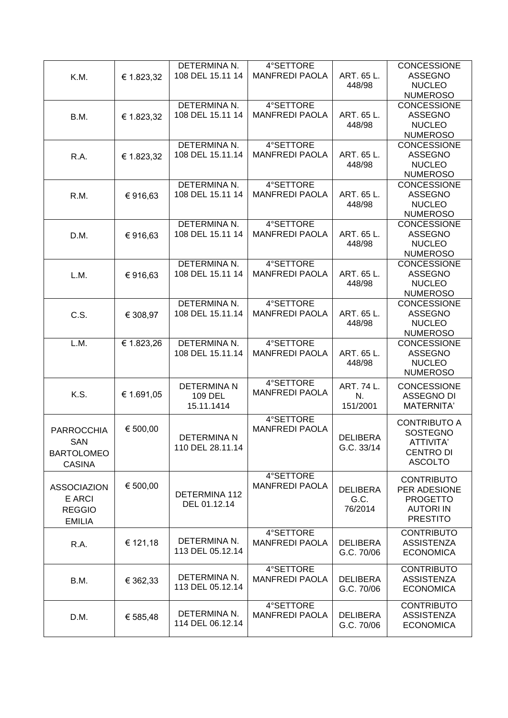|                    |            | DETERMINA N.          | 4°SETTORE             |                               | <b>CONCESSIONE</b>                    |
|--------------------|------------|-----------------------|-----------------------|-------------------------------|---------------------------------------|
| K.M.               | € 1.823,32 | 108 DEL 15.11 14      | <b>MANFREDI PAOLA</b> | ART. 65 L.                    | <b>ASSEGNO</b>                        |
|                    |            |                       |                       | 448/98                        | <b>NUCLEO</b>                         |
|                    |            |                       |                       |                               | <b>NUMEROSO</b>                       |
|                    |            | DETERMINA N.          | 4°SETTORE             |                               | <b>CONCESSIONE</b>                    |
| B.M.               | € 1.823,32 | 108 DEL 15.11 14      | <b>MANFREDI PAOLA</b> | ART. 65 L.<br>448/98          | <b>ASSEGNO</b><br><b>NUCLEO</b>       |
|                    |            |                       |                       |                               | <b>NUMEROSO</b>                       |
|                    |            | DETERMINA N.          | 4°SETTORE             |                               | CONCESSIONE                           |
| R.A.               | € 1.823,32 | 108 DEL 15.11.14      | <b>MANFREDI PAOLA</b> | ART. 65 L.                    | <b>ASSEGNO</b>                        |
|                    |            |                       |                       | 448/98                        | <b>NUCLEO</b>                         |
|                    |            |                       |                       |                               | <b>NUMEROSO</b>                       |
|                    |            | DETERMINA N.          | 4°SETTORE             |                               | <b>CONCESSIONE</b>                    |
| R.M.               | €916,63    | 108 DEL 15.11 14      | <b>MANFREDI PAOLA</b> | ART. 65 L.                    | <b>ASSEGNO</b>                        |
|                    |            |                       |                       | 448/98                        | <b>NUCLEO</b>                         |
|                    |            |                       |                       |                               | <b>NUMEROSO</b>                       |
|                    |            | DETERMINA N.          | 4°SETTORE             |                               | <b>CONCESSIONE</b>                    |
| D.M.               | €916,63    | 108 DEL 15.11 14      | <b>MANFREDI PAOLA</b> | ART. 65 L.                    | <b>ASSEGNO</b>                        |
|                    |            |                       |                       | 448/98                        | <b>NUCLEO</b>                         |
|                    |            | DETERMINA N.          | 4°SETTORE             |                               | <b>NUMEROSO</b><br><b>CONCESSIONE</b> |
| L.M.               |            | 108 DEL 15.11 14      | <b>MANFREDI PAOLA</b> | ART. 65 L.                    | <b>ASSEGNO</b>                        |
|                    | €916,63    |                       |                       | 448/98                        | <b>NUCLEO</b>                         |
|                    |            |                       |                       |                               | <b>NUMEROSO</b>                       |
|                    |            | DETERMINA N.          | 4°SETTORE             |                               | CONCESSIONE                           |
| C.S.               | € 308,97   | 108 DEL 15.11.14      | <b>MANFREDI PAOLA</b> | ART. 65 L.                    | <b>ASSEGNO</b>                        |
|                    |            |                       |                       | 448/98                        | <b>NUCLEO</b>                         |
|                    |            |                       |                       |                               | <b>NUMEROSO</b>                       |
| L.M.               | € 1.823,26 | DETERMINA N.          | 4°SETTORE             |                               | <b>CONCESSIONE</b>                    |
|                    |            | 108 DEL 15.11.14      | <b>MANFREDI PAOLA</b> | ART. 65 L.                    | <b>ASSEGNO</b>                        |
|                    |            |                       |                       | 448/98                        | <b>NUCLEO</b><br><b>NUMEROSO</b>      |
|                    |            |                       | 4°SETTORE             |                               |                                       |
| K.S.               | € 1.691,05 | <b>DETERMINA N</b>    | <b>MANFREDI PAOLA</b> | ART. 74 L.                    | <b>CONCESSIONE</b>                    |
|                    |            | 109 DEL<br>15.11.1414 |                       | N.<br>151/2001                | <b>ASSEGNO DI</b><br>MATERNITA'       |
|                    |            |                       |                       |                               |                                       |
|                    |            |                       | 4°SETTORE             |                               | <b>CONTRIBUTO A</b>                   |
| <b>PARROCCHIA</b>  | € 500,00   | <b>DETERMINAN</b>     | <b>MANFREDI PAOLA</b> | <b>DELIBERA</b>               | <b>SOSTEGNO</b>                       |
| SAN                |            | 110 DEL 28.11.14      |                       | G.C. 33/14                    | ATTIVITA'                             |
| <b>BARTOLOMEO</b>  |            |                       |                       |                               | <b>CENTRO DI</b>                      |
| <b>CASINA</b>      |            |                       |                       |                               | <b>ASCOLTO</b>                        |
|                    |            |                       | 4°SETTORE             |                               | <b>CONTRIBUTO</b>                     |
| <b>ASSOCIAZION</b> | € 500,00   |                       | <b>MANFREDI PAOLA</b> | <b>DELIBERA</b>               | PER ADESIONE                          |
| E ARCI             |            | DETERMINA 112         |                       | G.C.                          | <b>PROGETTO</b>                       |
| <b>REGGIO</b>      |            | DEL 01.12.14          |                       | 76/2014                       | <b>AUTORI IN</b>                      |
| <b>EMILIA</b>      |            |                       |                       |                               | <b>PRESTITO</b>                       |
|                    |            |                       | 4°SETTORE             |                               | <b>CONTRIBUTO</b>                     |
| R.A.               | € 121,18   | DETERMINA N.          | <b>MANFREDI PAOLA</b> | <b>DELIBERA</b>               | <b>ASSISTENZA</b>                     |
|                    |            | 113 DEL 05.12.14      |                       | G.C. 70/06                    | <b>ECONOMICA</b>                      |
|                    |            |                       | 4°SETTORE             |                               | <b>CONTRIBUTO</b>                     |
|                    |            | DETERMINA N.          |                       |                               |                                       |
| B.M.               | € 362,33   | 113 DEL 05.12.14      | <b>MANFREDI PAOLA</b> | <b>DELIBERA</b><br>G.C. 70/06 | <b>ASSISTENZA</b><br><b>ECONOMICA</b> |
|                    |            |                       |                       |                               |                                       |
|                    |            |                       | 4°SETTORE             |                               | <b>CONTRIBUTO</b>                     |
| D.M.               | € 585,48   | DETERMINA N.          | <b>MANFREDI PAOLA</b> | <b>DELIBERA</b>               | <b>ASSISTENZA</b>                     |
|                    |            | 114 DEL 06.12.14      |                       | G.C. 70/06                    | <b>ECONOMICA</b>                      |
|                    |            |                       |                       |                               |                                       |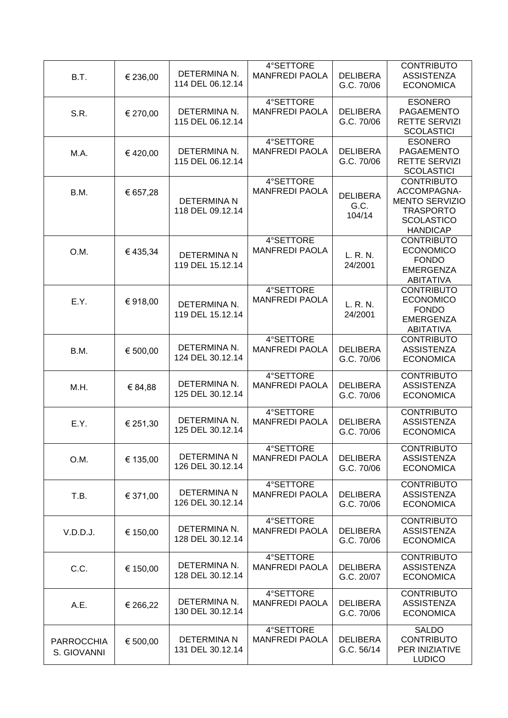| B.T.                             | € 236,00 | DETERMINA N.<br>114 DEL 06.12.14       | 4°SETTORE<br><b>MANFREDI PAOLA</b> | <b>DELIBERA</b><br>G.C. 70/06     | <b>CONTRIBUTO</b><br><b>ASSISTENZA</b><br><b>ECONOMICA</b>                                                            |
|----------------------------------|----------|----------------------------------------|------------------------------------|-----------------------------------|-----------------------------------------------------------------------------------------------------------------------|
| S.R.                             | € 270,00 | DETERMINA N.<br>115 DEL 06.12.14       | 4°SETTORE<br><b>MANFREDI PAOLA</b> | <b>DELIBERA</b><br>G.C. 70/06     | <b>ESONERO</b><br>PAGAEMENTO<br><b>RETTE SERVIZI</b><br><b>SCOLASTICI</b>                                             |
| M.A.                             | €420,00  | DETERMINA N.<br>115 DEL 06.12.14       | 4°SETTORE<br><b>MANFREDI PAOLA</b> | <b>DELIBERA</b><br>G.C. 70/06     | <b>ESONERO</b><br><b>PAGAEMENTO</b><br><b>RETTE SERVIZI</b><br><b>SCOLASTICI</b>                                      |
| B.M.                             | € 657,28 | <b>DETERMINA N</b><br>118 DEL 09.12.14 | 4°SETTORE<br><b>MANFREDI PAOLA</b> | <b>DELIBERA</b><br>G.C.<br>104/14 | <b>CONTRIBUTO</b><br>ACCOMPAGNA-<br><b>MENTO SERVIZIO</b><br><b>TRASPORTO</b><br><b>SCOLASTICO</b><br><b>HANDICAP</b> |
| O.M.                             | €435,34  | <b>DETERMINA N</b><br>119 DEL 15.12.14 | 4°SETTORE<br><b>MANFREDI PAOLA</b> | L. R. N.<br>24/2001               | <b>CONTRIBUTO</b><br><b>ECONOMICO</b><br><b>FONDO</b><br><b>EMERGENZA</b><br><b>ABITATIVA</b>                         |
| E.Y.                             | € 918,00 | DETERMINA N.<br>119 DEL 15.12.14       | 4°SETTORE<br><b>MANFREDI PAOLA</b> | L. R. N.<br>24/2001               | <b>CONTRIBUTO</b><br><b>ECONOMICO</b><br><b>FONDO</b><br><b>EMERGENZA</b><br><b>ABITATIVA</b>                         |
| B.M.                             | € 500,00 | DETERMINA N.<br>124 DEL 30.12.14       | 4°SETTORE<br><b>MANFREDI PAOLA</b> | <b>DELIBERA</b><br>G.C. 70/06     | <b>CONTRIBUTO</b><br><b>ASSISTENZA</b><br><b>ECONOMICA</b>                                                            |
| M.H.                             | € 84,88  | DETERMINA N.<br>125 DEL 30.12.14       | 4°SETTORE<br><b>MANFREDI PAOLA</b> | <b>DELIBERA</b><br>G.C. 70/06     | <b>CONTRIBUTO</b><br><b>ASSISTENZA</b><br><b>ECONOMICA</b>                                                            |
| E.Y.                             | € 251,30 | DETERMINA N.<br>125 DEL 30.12.14       | 4°SETTORE<br><b>MANFREDI PAOLA</b> | <b>DELIBERA</b><br>G.C. 70/06     | <b>CONTRIBUTO</b><br><b>ASSISTENZA</b><br><b>ECONOMICA</b>                                                            |
| O.M.                             | € 135,00 | DETERMINA N<br>126 DEL 30.12.14        | 4°SETTORE<br><b>MANFREDI PAOLA</b> | <b>DELIBERA</b><br>G.C. 70/06     | <b>CONTRIBUTO</b><br><b>ASSISTENZA</b><br><b>ECONOMICA</b>                                                            |
| T.B.                             | € 371,00 | DETERMINA N<br>126 DEL 30.12.14        | 4°SETTORE<br><b>MANFREDI PAOLA</b> | <b>DELIBERA</b><br>G.C. 70/06     | <b>CONTRIBUTO</b><br><b>ASSISTENZA</b><br><b>ECONOMICA</b>                                                            |
| V.D.D.J.                         | € 150,00 | DETERMINA N.<br>128 DEL 30.12.14       | 4°SETTORE<br><b>MANFREDI PAOLA</b> | <b>DELIBERA</b><br>G.C. 70/06     | <b>CONTRIBUTO</b><br><b>ASSISTENZA</b><br><b>ECONOMICA</b>                                                            |
| C.C.                             | € 150,00 | DETERMINA N.<br>128 DEL 30.12.14       | 4°SETTORE<br><b>MANFREDI PAOLA</b> | <b>DELIBERA</b><br>G.C. 20/07     | <b>CONTRIBUTO</b><br><b>ASSISTENZA</b><br><b>ECONOMICA</b>                                                            |
| A.E.                             | € 266,22 | DETERMINA N.<br>130 DEL 30.12.14       | 4°SETTORE<br><b>MANFREDI PAOLA</b> | <b>DELIBERA</b><br>G.C. 70/06     | <b>CONTRIBUTO</b><br><b>ASSISTENZA</b><br><b>ECONOMICA</b>                                                            |
| <b>PARROCCHIA</b><br>S. GIOVANNI | € 500,00 | <b>DETERMINA N</b><br>131 DEL 30.12.14 | 4°SETTORE<br><b>MANFREDI PAOLA</b> | <b>DELIBERA</b><br>G.C. 56/14     | <b>SALDO</b><br><b>CONTRIBUTO</b><br>PER INIZIATIVE<br><b>LUDICO</b>                                                  |